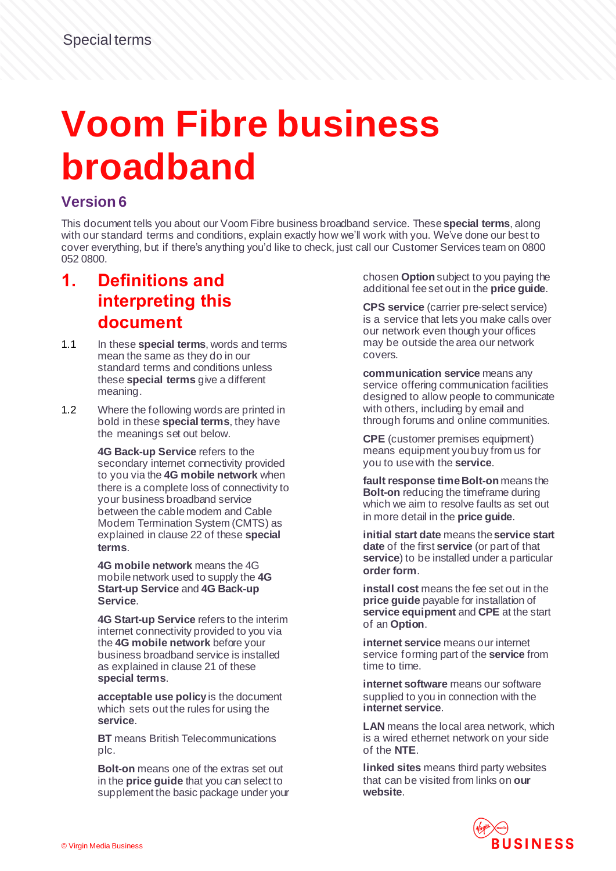# **Voom Fibre business broadband**

#### **Version 6**

This document tells you about our Voom Fibre business broadband service. These **special terms**, along with our standard terms and conditions, explain exactly how we'll work with you. We've done our best to cover everything, but if there's anything you'd like to check, just call our Customer Services team on 0800 052 0800.

#### **1. Definitions and interpreting this document**

- 1.1 In these **special terms**, words and terms mean the same as they do in our standard terms and conditions unless these **special terms** give a different meaning.
- 1.2 Where the following words are printed in bold in these **special terms**, they have the meanings set out below.

**4G Back-up Service** refers to the secondary internet connectivity provided to you via the **4G mobile network** when there is a complete loss of connectivity to your business broadband service between the cable modem and Cable Modem Termination System (CMTS) as explained in clause 22 of these **special terms**.

**4G mobile network** means the 4G mobile network used to supply the **4G Start-up Service** and **4G Back-up Service**.

**4G Start-up Service** refers to the interim internet connectivity provided to you via the **4G mobile network** before your business broadband service is installed as explained in clause 21 of these **special terms**.

**acceptable use policy** is the document which sets out the rules for using the **service**.

**BT** means British Telecommunications plc.

**Bolt-on** means one of the extras set out in the **price guide** that you can select to supplement the basic package under your chosen **Option** subject to you paying the additional fee set out in the **price guide**.

**CPS service** (carrier pre-select service) is a service that lets you make calls over our network even though your offices may be outside the area our network covers.

**communication service** means any service offering communication facilities designed to allow people to communicate with others, including by email and through forums and online communities.

**CPE** (customer premises equipment) means equipment you buy from us for you to usewith the **service**.

**fault response time Bolt-on** means the **Bolt-on** reducing the timeframe during which we aim to resolve faults as set out in more detail in the **price guide**.

**initial start date** means the **service start date** of the first **service** (or part of that **service**) to be installed under a particular **order form**.

**install cost** means the fee set out in the **price guide** payable for installation of **service equipment** and **CPE** at the start of an **Option**.

**internet service** means our internet service forming part of the **service** from time to time.

**internet software** means our software supplied to you in connection with the **internet service**.

**LAN** means the local area network, which is a wired ethernet network on your side of the **NTE**.

**linked sites** means third party websites that can be visited from links on **our website**.

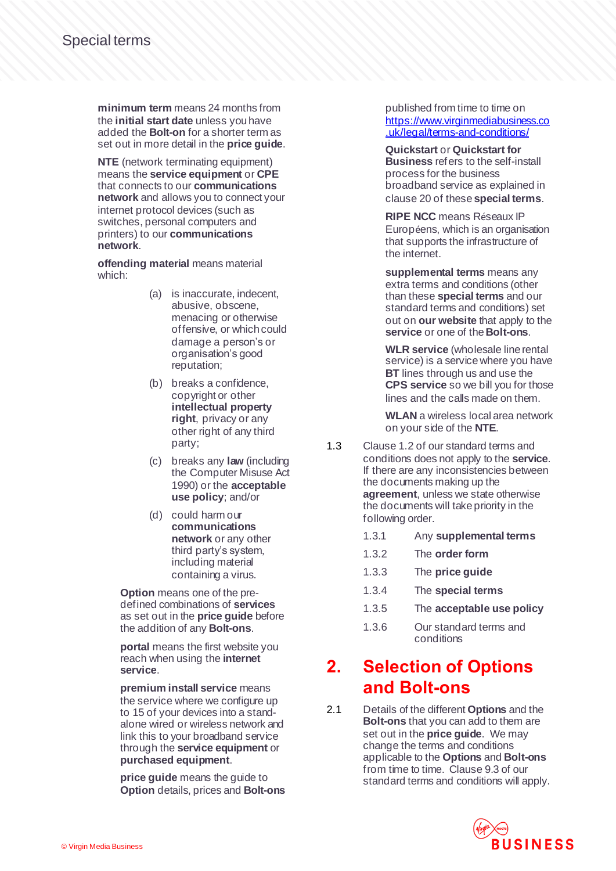**minimum term** means 24 months from the **initial start date** unless you have added the **Bolt-on** for a shorter term as set out in more detail in the **price guide**.

**NTE** (network terminating equipment) means the **service equipment** or **CPE** that connects to our **communications network** and allows you to connect your internet protocol devices (such as switches, personal computers and printers) to our **communications network**.

**offending material** means material which:

- (a) is inaccurate, indecent, abusive, obscene, menacing or otherwise offensive, or which could damage a person's or organisation's good reputation;
- (b) breaks a confidence, copyright or other **intellectual property right**, privacy or any other right of any third party;
- (c) breaks any **law** (including the Computer Misuse Act 1990) or the **acceptable use policy**; and/or
- (d) could harm our **communications network** or any other third party's system, including material containing a virus.

**Option** means one of the predefined combinations of **services** as set out in the **price guide** before the addition of any **Bolt-ons**.

**portal** means the first website you reach when using the **internet service**.

**premium install service** means the service where we configure up to 15 of your devices into a standalone wired or wireless network and link this to your broadband service through the **service equipment** or **purchased equipment**.

**price guide** means the guide to **Option** details, prices and **Bolt-ons** published from time to time on [https://www.virginmediabusiness.co](https://www.virginmediabusiness.co.uk/legal/terms-and-conditions/) [.uk/legal/terms-and-conditions/](https://www.virginmediabusiness.co.uk/legal/terms-and-conditions/)

**Quickstart** or **Quickstart for Business** refers to the self-install process for the business broadband service as explained in clause 20 of these **special terms**.

**RIPE NCC** means Réseaux IP Européens, which is an organisation that supports the infrastructure of the internet.

**supplemental terms** means any extra terms and conditions (other than these **special terms** and our standard terms and conditions) set out on **our website** that apply to the **service** or one of the **Bolt-ons**.

**WLR service** (wholesale line rental service) is a service where you have **BT** lines through us and use the **CPS service** so we bill you for those lines and the calls made on them.

**WLAN** a wireless local area network on your side of the **NTE**.

- 1.3 Clause 1.2 of our standard terms and conditions does not apply to the **service**. If there are any inconsistencies between the documents making up the **agreement**, unless we state otherwise the documents will take priority in the following order.
	- 1.3.1 Any **supplemental terms**
	- 1.3.2 The **order form**
	- 1.3.3 The **price guide**
	- 1.3.4 The **special terms**
	- 1.3.5 The **acceptable use policy**
	- 1.3.6 Our standard terms and conditions

#### **2. Selection of Options and Bolt-ons**

2.1 Details of the different **Options** and the **Bolt-ons** that you can add to them are set out in the **price guide**. We may change the terms and conditions applicable to the **Options** and **Bolt-ons** from time to time. Clause 9.3 of our standard terms and conditions will apply.

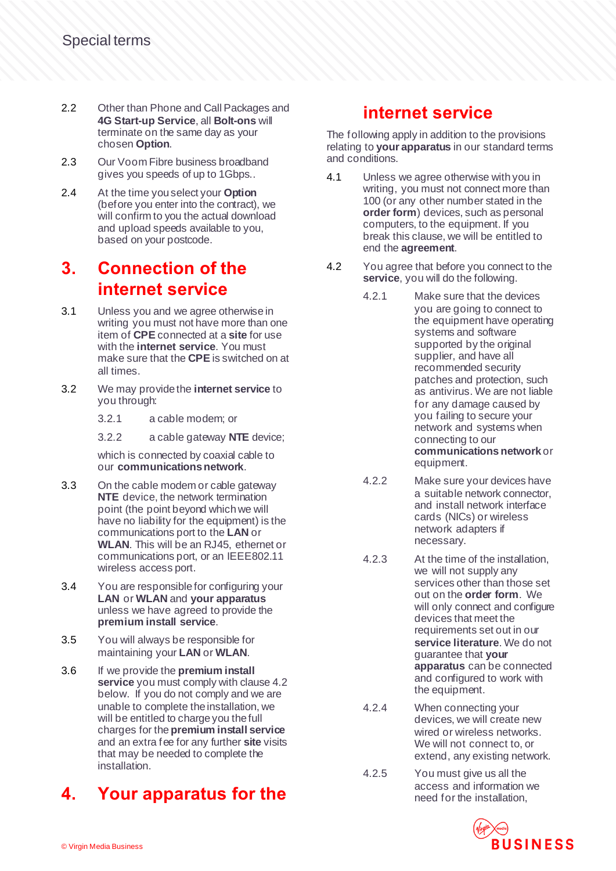- 2.2 Other than Phone and Call Packages and **4G Start-up Service**, all **Bolt-ons** will terminate on the same day as your chosen **Option**.
- 2.3 Our Voom Fibre business broadband gives you speeds of up to 1Gbps..
- 2.4 At the time you select your **Option** (before you enter into the contract), we will confirm to you the actual download and upload speeds available to you, based on your postcode.

# **3. Connection of the internet service**

- 3.1 Unless you and we agree otherwise in writing you must not have more than one item of **CPE** connected at a **site** for use with the **internet service**. You must make sure that the **CPE** is switched on at all times.
- 3.2 We may provide the **internet service** to you through:
	- 3.2.1 a cable modem; or
	- 3.2.2 a cable gateway **NTE** device;

which is connected by coaxial cable to our **communications network**.

- 3.3 On the cable modem or cable gateway **NTE** device, the network termination point (the point beyond whichwe will have no liability for the equipment) is the communications port to the **LAN** or **WLAN**. This will be an RJ45, ethernet or communications port, or an IEEE802.11 wireless access port.
- 3.4 You are responsible for configuring your **LAN** or **WLAN** and **your apparatus** unless we have agreed to provide the **premium install service**.
- 3.5 You will always be responsible for maintaining your **LAN** or **WLAN**.
- 3.6 If we provide the **premium install service** you must comply with clause 4.2 below. If you do not comply and we are unable to complete the installation, we will be entitled to charge you the full charges for the **premium install service** and an extra fee for any further **site** visits that may be needed to complete the installation.

# **4. Your apparatus for the**

#### **internet service**

The following apply in addition to the provisions relating to **your apparatus** in our standard terms and conditions.

- 4.1 Unless we agree otherwise with you in writing, you must not connect more than 100 (or any other number stated in the **order form**) devices, such as personal computers, to the equipment. If you break this clause, we will be entitled to end the **agreement**.
- 4.2 You agree that before you connect to the **service**, you will do the following.
	- 4.2.1 Make sure that the devices you are going to connect to the equipment have operating systems and software supported by the original supplier, and have all recommended security patches and protection, such as antivirus. We are not liable for any damage caused by you failing to secure your network and systems when connecting to our **communications network** or equipment.
	- 4.2.2 Make sure your devices have a suitable network connector, and install network interface cards (NICs) or wireless network adapters if necessary.
	- 4.2.3 At the time of the installation, we will not supply any services other than those set out on the **order form**. We will only connect and configure devices that meet the requirements set out in our **service literature**. We do not guarantee that **your apparatus** can be connected and configured to work with the equipment.
	- 4.2.4 When connecting your devices, we will create new wired or wireless networks. We will not connect to, or extend, any existing network.
	- 4.2.5 You must give us all the access and information we need for the installation,

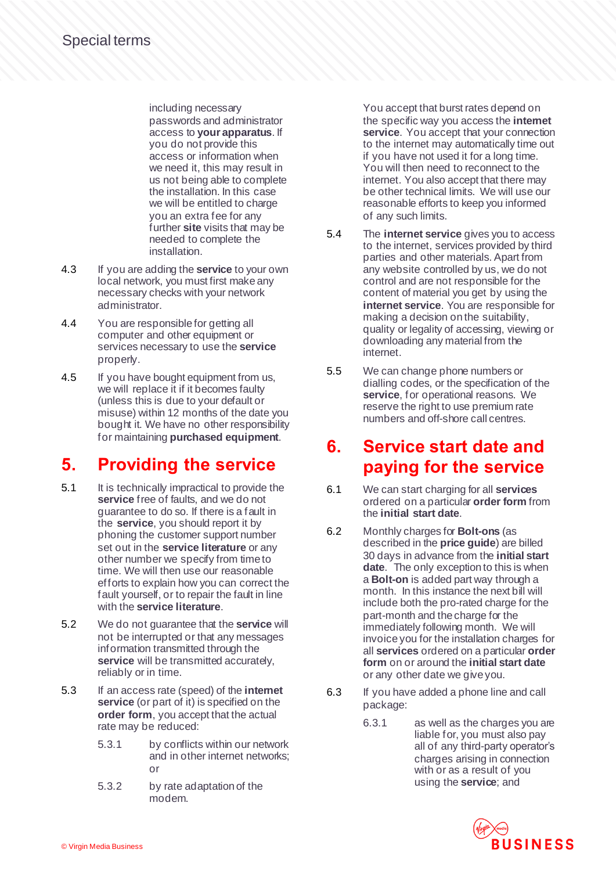including necessary passwords and administrator access to **your apparatus**. If you do not provide this access or information when we need it, this may result in us not being able to complete the installation. In this case we will be entitled to charge you an extra fee for any further **site** visits that may be needed to complete the installation.

- 4.3 If you are adding the **service** to your own local network, you must first make any necessary checks with your network administrator.
- 4.4 You are responsible for getting all computer and other equipment or services necessary to use the **service** properly.
- 4.5 If you have bought equipment from us, we will replace it if it becomes faulty (unless this is due to your default or misuse) within 12 months of the date you bought it. We have no other responsibility for maintaining **purchased equipment**.

# **5. Providing the service**

- 5.1 It is technically impractical to provide the **service** free of faults, and we do not guarantee to do so. If there is a fault in the **service**, you should report it by phoning the customer support number set out in the **service literature** or any other number we specify from time to time. We will then use our reasonable efforts to explain how you can correct the fault yourself, or to repair the fault in line with the **service literature**.
- 5.2 We do not guarantee that the **service** will not be interrupted or that any messages information transmitted through the service will be transmitted accurately, reliably or in time.
- 5.3 If an access rate (speed) of the **internet service** (or part of it) is specified on the **order form**, you accept that the actual rate may be reduced:
	- 5.3.1 by conflicts within our network and in other internet networks; or
	- 5.3.2 by rate adaptation of the modem.

You accept that burst rates depend on the specific way you access the **internet service**. You accept that your connection to the internet may automatically time out if you have not used it for a long time. You will then need to reconnect to the internet. You also accept that there may be other technical limits. We will use our reasonable efforts to keep you informed of any such limits.

- 5.4 The **internet service** gives you to access to the internet, services provided by third parties and other materials. Apart from any website controlled by us, we do not control and are not responsible for the content of material you get by using the **internet service**. You are responsible for making a decision onthe suitability, quality or legality of accessing, viewing or downloading any material from the internet.
- 5.5 We can change phone numbers or dialling codes, or the specification of the **service**, for operational reasons. We reserve the right to use premium rate numbers and off-shore call centres.

#### **6. Service start date and paying for the service**

- 6.1 We can start charging for all **services** ordered on a particular **order form** from the **initial start date**.
- 6.2 Monthly charges for **Bolt-ons** (as described in the **price guide**) are billed 30 days in advance from the **initial start date**. The only exception to this is when a **Bolt-on** is added part way through a month. In this instance the next bill will include both the pro-rated charge for the part-month and the charge for the immediately following month. We will invoice you for the installation charges for all **services** ordered on a particular **order form** on or around the **initial start date** or any other date we give you.
- 6.3 If you have added a phone line and call package:
	- 6.3.1 as well as the charges you are liable for, you must also pay all of any third-party operator's charges arising in connection with or as a result of you using the **service**; and

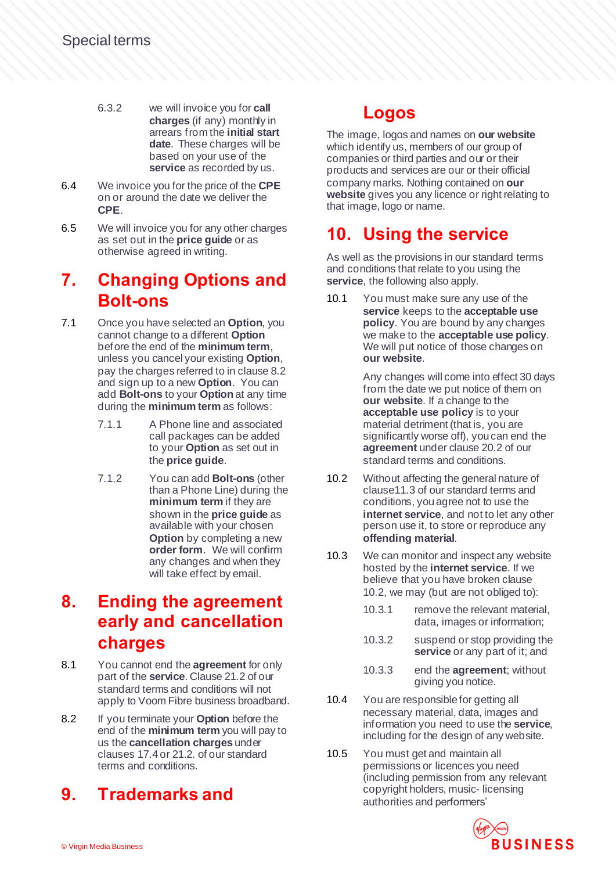- 6.3.2 we will invoice you for **call charges** (if any) monthly in arrears from the **initial start date**. These charges will be based on your use of the **service** as recorded by us.
- 6.4 We invoice you for the price of the **CPE** on or around the date we deliver the **CPE**.
- 6.5 We will invoice you for any other charges as set out in the **price guide** or as otherwise agreed in writing.

#### **7. Changing Options and Bolt-ons**

- 7.1 Once you have selected an **Option**, you cannot change to a different **Option** before the end of the **minimum term**, unless you cancel your existing **Option**, pay the charges referred to in clause 8.2 and sign up to a new **Option**. You can add **Bolt-ons** to your **Option** at any time during the **minimum term** as follows:
	- 7.1.1 A Phone line and associated call packages can be added to your **Option** as set out in the **price guide**.
	- 7.1.2 You can add **Bolt-ons** (other than a Phone Line) during the **minimum term** if they are shown in the **price guide** as available with your chosen **Option** by completing a new **order form**. We will confirm any changes and when they will take effect by email.

# **8. Ending the agreement early and cancellation charges**

- 8.1 You cannot end the **agreement** for only part of the **service**. Clause 21.2 of our standard terms and conditions will not apply to Voom Fibre business broadband.
- 8.2 If you terminate your **Option** before the end of the **minimum term** you will pay to us the **cancellation charges** under clauses 17.4 or 21.2. of our standard terms and conditions.

# **9. Trademarks and**

# **Logos**

The image, logos and names on **our website** which identify us, members of our group of companies or third parties and our or their products and services are our or their official company marks. Nothing contained on **our website** gives you any licence or right relating to that image, logo or name.

# **10. Using the service**

As well as the provisions in our standard terms and conditions that relate to you using the **service**, the following also apply.

10.1 You must make sure any use of the **service** keeps to the **acceptable use policy**. You are bound by any changes we make to the **acceptable use policy**. We will put notice of those changes on **our website**.

> Any changes will come into effect 30 days from the date we put notice of them on **our website**. If a change to the **acceptable use policy** is to your material detriment (that is, you are significantly worse off), you can end the **agreement** under clause 20.2 of our standard terms and conditions.

- 10.2 Without affecting the general nature of clause11.3 of our standard terms and conditions, you agree not to use the **internet service**, and not to let any other person use it, to store or reproduce any **offending material**.
- 10.3 We can monitor and inspect any website hosted by the **internet service**. If we believe that you have broken clause 10.2, we may (but are not obliged to):
	- 10.3.1 remove the relevant material, data, images or information;
	- 10.3.2 suspend or stop providing the **service** or any part of it; and
	- 10.3.3 end the **agreement**; without giving you notice.
- 10.4 You are responsible for getting all necessary material, data, images and information you need to use the **service**, including for the design of any website.
- 10.5 You must get and maintain all permissions or licences you need (including permission from any relevant copyright holders, music- licensing authorities and performers'

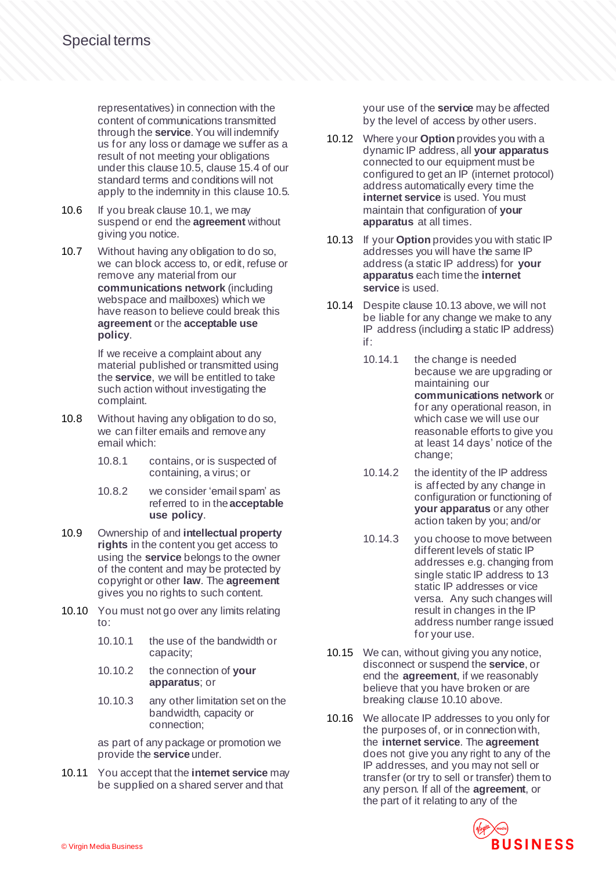representatives) in connection with the content of communications transmitted through the **service**. You will indemnify us for any loss or damage we suffer as a result of not meeting your obligations under this clause 10.5, clause 15.4 of our standard terms and conditions will not apply to the indemnity in this clause 10.5.

- 10.6 If you break clause 10.1, we may suspend or end the **agreement** without giving you notice.
- 10.7 Without having any obligation to do so, we can block access to, or edit, refuse or remove any material from our **communications network** (including webspace and mailboxes) which we have reason to believe could break this **agreement** or the **acceptable use policy**.

If we receive a complaint about any material published or transmitted using the **service**, we will be entitled to take such action without investigating the complaint.

- 10.8 Without having any obligation to do so, we can filter emails and remove any email which:
	- 10.8.1 contains, or is suspected of containing, a virus; or
	- 10.8.2 we consider 'email spam' as referred to in the **acceptable use policy**.
- 10.9 Ownership of and **intellectual property rights** in the content you get access to using the **service** belongs to the owner of the content and may be protected by copyright or other **law**. The **agreement** gives you no rights to such content.
- 10.10 You must not go over any limits relating to:
	- 10.10.1 the use of the bandwidth or capacity;
	- 10.10.2 the connection of **your apparatus**; or
	- 10.10.3 any other limitation set on the bandwidth, capacity or connection;

as part of any package or promotion we provide the **service** under.

10.11 You accept that the **internet service** may be supplied on a shared server and that

your use of the **service** may be affected by the level of access by other users.

- 10.12 Where your **Option** provides you with a dynamic IP address, all **your apparatus** connected to our equipment must be configured to get an IP (internet protocol) address automatically every time the **internet service** is used. You must maintain that configuration of **your apparatus** at all times.
- 10.13 If your **Option** provides you with static IP addresses you will have the same IP address (a static IP address) for **your apparatus** each timethe **internet service** is used.
- 10.14 Despite clause 10.13 above, we will not be liable for any change we make to any IP address (including a static IP address) if:
	- 10.14.1 the change is needed because we are upgrading or maintaining our **communications network** or for any operational reason, in which case we will use our reasonable efforts to give you at least 14 days' notice of the change;
	- 10.14.2 the identity of the IP address is affected by any change in configuration or functioning of **your apparatus** or any other action taken by you; and/or
	- 10.14.3 you choose to move between different levels of static IP addresses e.g. changing from single static IP address to 13 static IP addresses or vice versa. Any such changes will result in changes in the IP address number range issued for your use.
- 10.15 We can, without giving you any notice, disconnect or suspend the **service**, or end the **agreement**, if we reasonably believe that you have broken or are breaking clause 10.10 above.
- 10.16 We allocate IP addresses to you only for the purposes of, or in connection with, the **internet service**. The **agreement** does not give you any right to any of the IP addresses, and you may not sell or transfer (or try to sell or transfer) them to any person. If all of the **agreement**, or the part of it relating to any of the

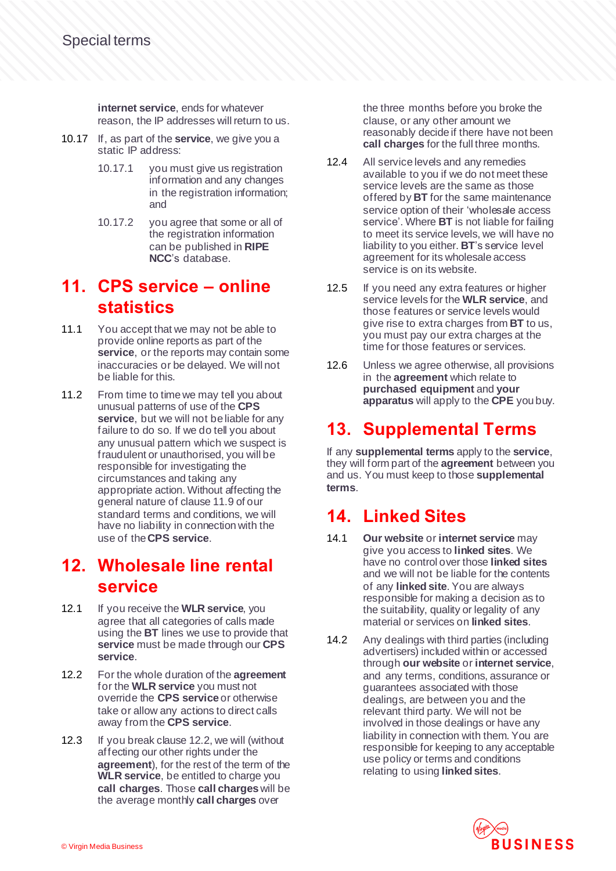**internet service**, ends for whatever reason, the IP addresses will return to us.

- 10.17 If, as part of the **service**, we give you a static IP address:
	- 10.17.1 you must give us registration information and any changes in the registration information; and
	- 10.17.2 you agree that some or all of the registration information can be published in **RIPE NCC**'s database.

#### **11. CPS service – online statistics**

- 11.1 You accept that we may not be able to provide online reports as part of the **service**, or the reports may contain some inaccuracies or be delayed. We will not be liable for this.
- 11.2 From time to time we may tell you about unusual patterns of use of the **CPS** service, but we will not be liable for any failure to do so. If we do tell you about any unusual pattern which we suspect is fraudulent or unauthorised, you will be responsible for investigating the circumstances and taking any appropriate action. Without affecting the general nature of clause 11.9 of our standard terms and conditions, we will have no liability in connection with the use of the**CPS service**.

#### **12. Wholesale line rental service**

- 12.1 If you receive the **WLR service**, you agree that all categories of calls made using the **BT** lines we use to provide that **service** must be made through our **CPS service**.
- 12.2 For the whole duration of the **agreement** for the **WLR service** you must not override the **CPS service** or otherwise take or allow any actions to direct calls away from the **CPS service**.
- 12.3 If you break clause 12.2, we will (without affecting our other rights under the **agreement**), for the rest of the term of the **WLR service**, be entitled to charge you **call charges**. Those **call charges** will be the average monthly **call charges** over

the three months before you broke the clause, or any other amount we reasonably decide if there have not been **call charges** for the full three months.

- 12.4 All service levels and any remedies available to you if we do not meet these service levels are the same as those offered by **BT** for the same maintenance service option of their 'wholesale access service'. Where **BT** is not liable for failing to meet its service levels, we will have no liability to you either. **BT**'s service level agreement for its wholesale access service is on its website.
- 12.5 If you need any extra features or higher service levels for the **WLR service**, and those features or service levels would give rise to extra charges from **BT** to us, you must pay our extra charges at the time for those features or services.
- 12.6 Unless we agree otherwise, all provisions in the **agreement** which relate to **purchased equipment** and **your apparatus** will apply to the **CPE** you buy.

# **13. Supplemental Terms**

If any **supplemental terms** apply to the **service**, they will form part of the **agreement** between you and us. You must keep to those **supplemental terms**.

# **14. Linked Sites**

- 14.1 **Our website** or **internet service** may give you access to **linked sites**. We have no control over those **linked sites** and we will not be liable for the contents of any **linked site**. You are always responsible for making a decision as to the suitability, quality or legality of any material or services on **linked sites**.
- 14.2 Any dealings with third parties (including advertisers) included within or accessed through **our website** or **internet service**, and any terms, conditions, assurance or guarantees associated with those dealings, are between you and the relevant third party. We will not be involved in those dealings or have any liability in connection with them. You are responsible for keeping to any acceptable use policy or terms and conditions relating to using **linked sites**.

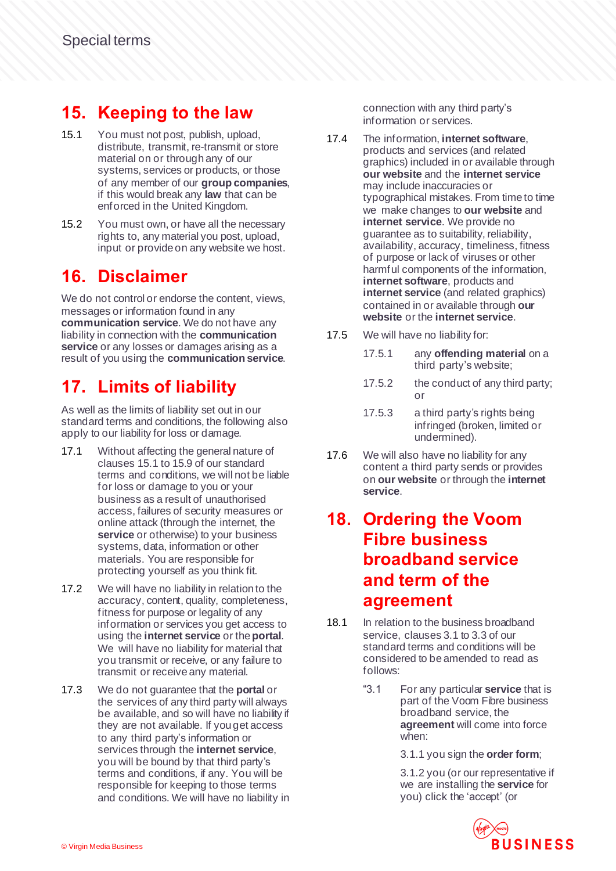# **15. Keeping to the law**

- 15.1 You must not post, publish, upload, distribute, transmit, re-transmit or store material on or through any of our systems, services or products, or those of any member of our **group companies**, if this would break any **law** that can be enforced in the United Kingdom.
- 15.2 You must own, or have all the necessary rights to, any material you post, upload, input or provide on any website we host.

# **16. Disclaimer**

We do not control or endorse the content, views, messages or information found in any **communication service**. We do not have any liability in connection with the **communication service** or any losses or damages arising as a result of you using the **communication service**.

# **17. Limits of liability**

As well as the limits of liability set out in our standard terms and conditions, the following also apply to our liability for loss or damage.

- 17.1 Without affecting the general nature of clauses 15.1 to 15.9 of our standard terms and conditions, we will not be liable for loss or damage to you or your business as a result of unauthorised access, failures of security measures or online attack (through the internet, the **service** or otherwise) to your business systems, data, information or other materials. You are responsible for protecting yourself as you think fit.
- 17.2 We will have no liability in relation to the accuracy, content, quality, completeness, fitness for purpose or legality of any information or services you get access to using the **internet service** or the**portal**. We will have no liability for material that you transmit or receive, or any failure to transmit or receive any material.
- 17.3 We do not guarantee that the **portal** or the services of any third party will always be available, and so will have no liability if they are not available. If you get access to any third party's information or services through the **internet service**, you will be bound by that third party's terms and conditions, if any. You will be responsible for keeping to those terms and conditions. We will have no liability in

connection with any third party's information or services.

- 17.4 The information, **internet software**, products and services (and related graphics) included in or available through **our website** and the **internet service** may include inaccuracies or typographical mistakes. From time to time we make changes to **our website** and **internet service**. We provide no guarantee as to suitability, reliability, availability, accuracy, timeliness, fitness of purpose or lack of viruses or other harmful components of the information, **internet software**, products and **internet service** (and related graphics) contained in or available through **our website** or the **internet service**.
- 17.5 We will have no liability for:
	- 17.5.1 any **offending material** on a third party's website;
	- 17.5.2 the conduct of any third party; or
	- 17.5.3 a third party's rights being infringed (broken, limited or undermined).
- 17.6 We will also have no liability for any content a third party sends or provides on **our website** or through the **internet service**.

#### **18. Ordering the Voom Fibre business broadband service and term of the agreement**

- 18.1 In relation to the business broadband service, clauses 3.1 to 3.3 of our standard terms and conditions will be considered to be amended to read as follows:
	- "3.1 For any particular **service** that is part of the Voom Fibre business broadband service, the **agreement** will come into force when:

3.1.1 you sign the **order form**;

3.1.2 you (or our representative if we are installing the **service** for you) click the 'accept' (or

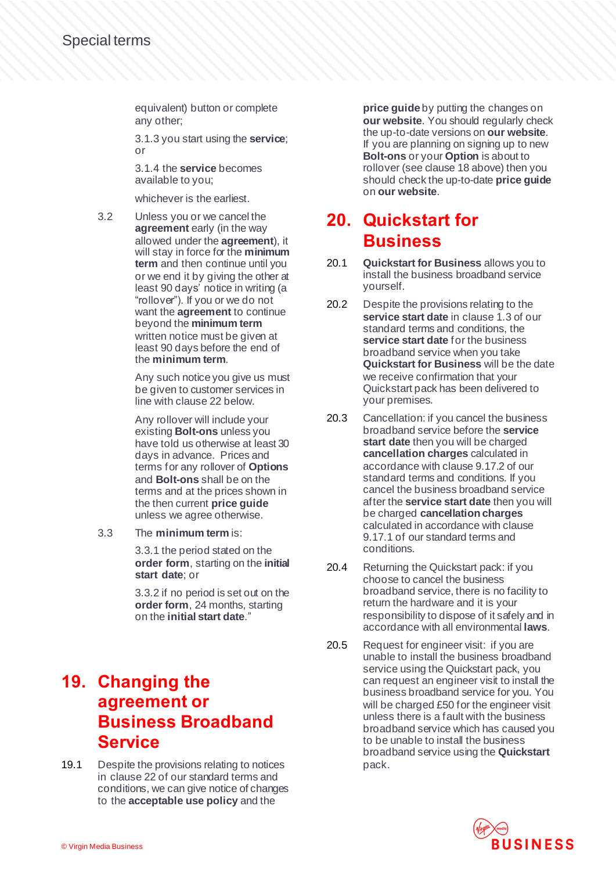equivalent) button or complete any other;

3.1.3 you start using the **service**; or

3.1.4 the **service** becomes available to you;

whichever is the earliest.

3.2 Unless you or we cancel the **agreement** early (in the way allowed under the **agreement**), it will stay in force for the **minimum term** and then continue until you or we end it by giving the other at least 90 days' notice in writing (a "rollover"). If you or we do not want the **agreement** to continue beyond the **minimum term**  written notice must be given at least 90 days before the end of the **minimum term**.

> Any such notice you give us must be given to customer services in line with clause 22 below.

> Any rollover will include your existing **Bolt-ons** unless you have told us otherwise at least 30 days in advance. Prices and terms for any rollover of **Options** and **Bolt-ons** shall be on the terms and at the prices shown in the then current **price guide** unless we agree otherwise.

3.3 The **minimum term** is:

3.3.1 the period stated on the **order form**, starting on the **initial start date**; or

3.3.2 if no period is set out on the **order form**, 24 months, starting on the **initial start date**."

# **19. Changing the agreement or Business Broadband Service**

19.1 Despite the provisions relating to notices in clause 22 of our standard terms and conditions, we can give notice of changes to the **acceptable use policy** and the

**price guide** by putting the changes on **our website**. You should regularly check the up-to-date versions on **our website**. If you are planning on signing up to new **Bolt-ons** or your **Option** is about to rollover (see clause 18 above) then you should check the up-to-date **price guide** on **our website**.

#### **20. Quickstart for Business**

- 20.1 **Quickstart for Business** allows you to install the business broadband service yourself.
- 20.2 Despite the provisions relating to the **service start date** in clause 1.3 of our standard terms and conditions, the **service start date** for the business broadband service when you take **Quickstart for Business** will be the date we receive confirmation that your Quickstart pack has been delivered to your premises.
- 20.3 Cancellation: if you cancel the business broadband service before the **service start date** then you will be charged **cancellation charges** calculated in accordance with clause 9.17.2 of our standard terms and conditions. If you cancel the business broadband service after the **service start date** then you will be charged **cancellation charges** calculated in accordance with clause 9.17.1 of our standard terms and conditions.
- 20.4 Returning the Quickstart pack: if you choose to cancel the business broadband service, there is no facility to return the hardware and it is your responsibility to dispose of it safely and in accordance with all environmental **laws**.
- 20.5 Request for engineer visit: if you are unable to install the business broadband service using the Quickstart pack, you can request an engineer visit to install the business broadband service for you. You will be charged £50 for the engineer visit unless there is a fault with the business broadband service which has caused you to be unable to install the business broadband service using the **Quickstart** pack.

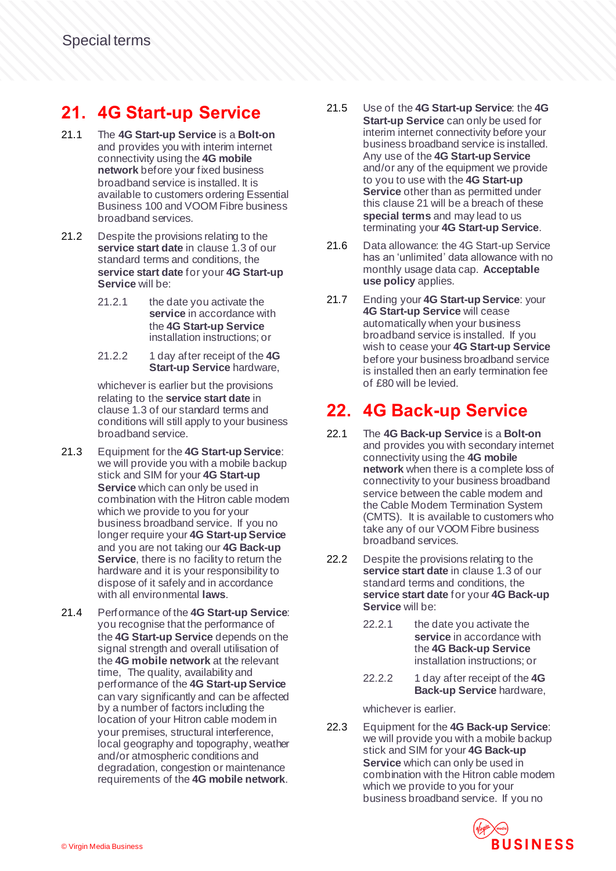# **21. 4G Start-up Service**

- 21.1 The **4G Start-up Service** is a **Bolt-on**  and provides you with interim internet connectivity using the **4G mobile network** before your fixed business broadband service is installed. It is available to customers ordering Essential Business 100 and VOOM Fibre business broadband services.
- 21.2 Despite the provisions relating to the **service start date** in clause 1.3 of our standard terms and conditions, the **service start date** for your **4G Start-up Service** will be:
	- 21.2.1 the date you activate the **service** in accordance with the **4G Start-up Service** installation instructions; or
	- 21.2.2 1 day after receipt of the **4G Start-up Service** hardware,

whichever is earlier but the provisions relating to the **service start date** in clause 1.3 of our standard terms and conditions will still apply to your business broadband service.

- 21.3 Equipment for the **4G Start-up Service**: we will provide you with a mobile backup stick and SIM for your **4G Start-up Service** which can only be used in combination with the Hitron cable modem which we provide to you for your business broadband service. If you no longer require your **4G Start-up Service** and you are not taking our **4G Back-up Service**, there is no facility to return the hardware and it is your responsibility to dispose of it safely and in accordance with all environmental **laws**.
- 21.4 Performance of the **4G Start-up Service**: you recognise that the performance of the **4G Start-up Service** depends on the signal strength and overall utilisation of the **4G mobile network** at the relevant time, The quality, availability and performance of the **4G Start-up Service** can vary significantly and can be affected by a number of factors including the location of your Hitron cable modem in your premises, structural interference, local geography and topography, weather and/or atmospheric conditions and degradation, congestion or maintenance requirements of the **4G mobile network**.
- 21.5 Use of the **4G Start-up Service**: the **4G Start-up Service** can only be used for interim internet connectivity before your business broadband service is installed. Any use of the **4G Start-up Service** and/or any of the equipment we provide to you to use with the **4G Start-up Service** other than as permitted under this clause 21 will be a breach of these **special terms** and may lead to us terminating your **4G Start-up Service**.
- 21.6 Data allowance: the 4G Start-up Service has an 'unlimited' data allowance with no monthly usage data cap. **Acceptable use policy** applies.
- 21.7 Ending your **4G Start-up Service**: your **4G Start-up Service** will cease automatically when your business broadband service is installed. If you wish to cease your **4G Start-up Service** before your business broadband service is installed then an early termination fee of £80 will be levied.

# **22. 4G Back-up Service**

- 22.1 The **4G Back-up Service** is a **Bolt-on**  and provides you with secondary internet connectivity using the **4G mobile network** when there is a complete loss of connectivity to your business broadband service between the cable modem and the Cable Modem Termination System (CMTS). It is available to customers who take any of our VOOM Fibre business broadband services.
- 22.2 Despite the provisions relating to the **service start date** in clause 1.3 of our standard terms and conditions, the **service start date** for your **4G Back-up Service** will be:
	- 22.2.1 the date you activate the **service** in accordance with the **4G Back-up Service**  installation instructions; or
	- 22.2.2 1 day after receipt of the **4G Back-up Service** hardware,

whichever is earlier.

22.3 Equipment for the **4G Back-up Service**: we will provide you with a mobile backup stick and SIM for your **4G Back-up Service** which can only be used in combination with the Hitron cable modem which we provide to you for your business broadband service. If you no

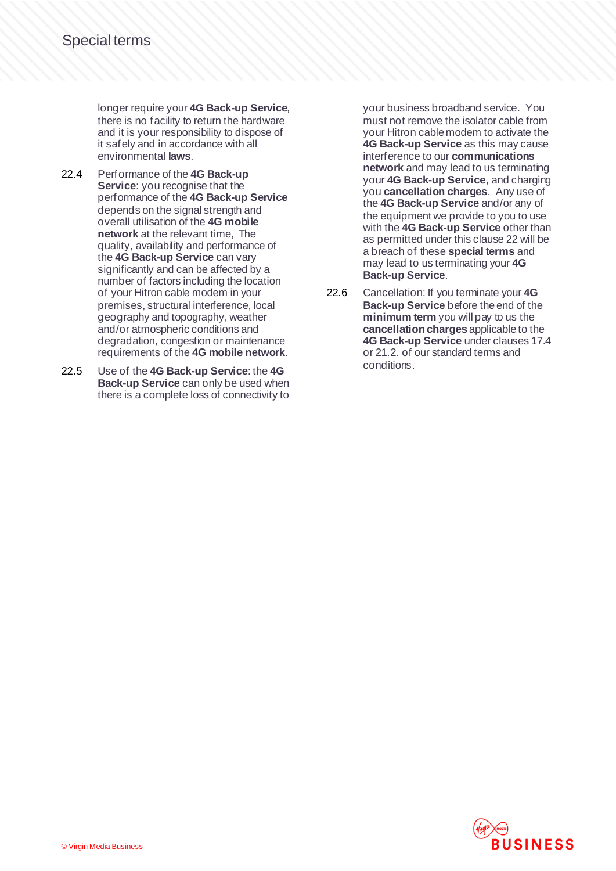longer require your **4G Back-up Service**, there is no facility to return the hardware and it is your responsibility to dispose of it safely and in accordance with all environmental **laws**.

- 22.4 Performance of the **4G Back-up Service**: you recognise that the performance of the **4G Back-up Service** depends on the signal strength and overall utilisation of the **4G mobile network** at the relevant time, The quality, availability and performance of the **4G Back-up Service** can vary significantly and can be affected by a number of factors including the location of your Hitron cable modem in your premises, structural interference, local geography and topography, weather and/or atmospheric conditions and degradation, congestion or maintenance requirements of the **4G mobile network**.
- 22.5 Use of the **4G Back-up Service**: the **4G Back-up Service** can only be used when there is a complete loss of connectivity to

your business broadband service. You must not remove the isolator cable from your Hitron cable modem to activate the **4G Back-up Service** as this may cause interference to our **communications network** and may lead to us terminating your **4G Back-up Service**, and charging you **cancellation charges**. Any use of the **4G Back-up Service** and/or any of the equipment we provide to you to use with the **4G Back-up Service** other than as permitted under this clause 22 will be a breach of these **special terms** and may lead to us terminating your **4G Back-up Service**.

22.6 Cancellation: If you terminate your **4G Back-up Service** before the end of the **minimum term** you will pay to us the **cancellation charges** applicable to the **4G Back-up Service** under clauses 17.4 or 21.2. of our standard terms and conditions.